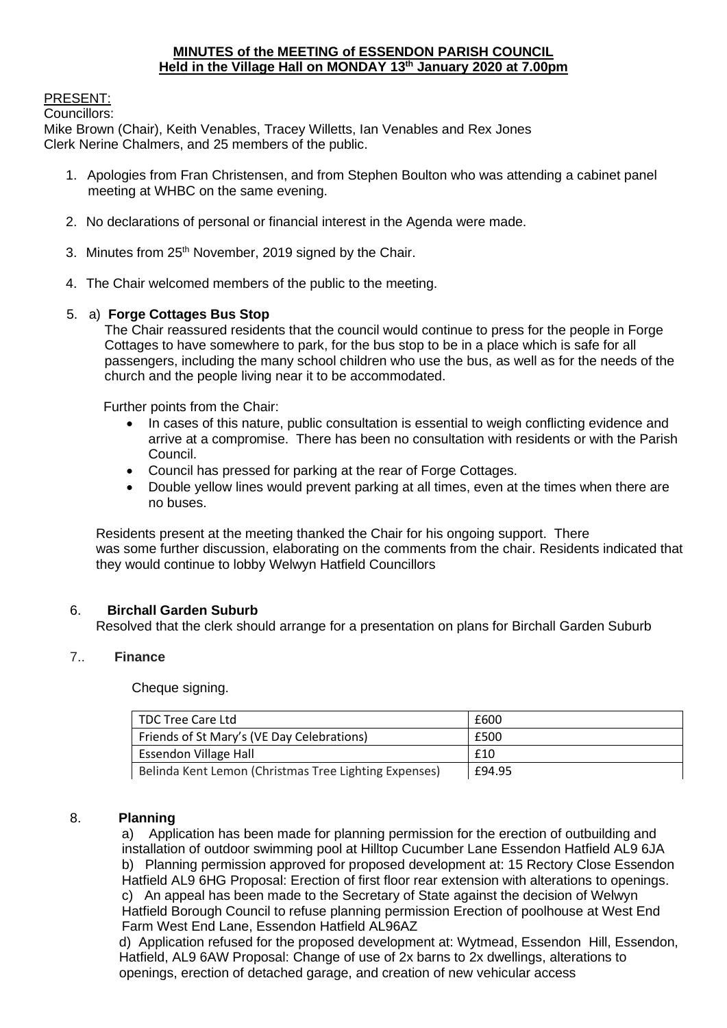### **MINUTES of the MEETING of ESSENDON PARISH COUNCIL Held in the Village Hall on MONDAY 13th January 2020 at 7.00pm**

# PRESENT:

Councillors:

Mike Brown (Chair), Keith Venables, Tracey Willetts, Ian Venables and Rex Jones Clerk Nerine Chalmers, and 25 members of the public.

- 1. Apologies from Fran Christensen, and from Stephen Boulton who was attending a cabinet panel meeting at WHBC on the same evening.
- 2. No declarations of personal or financial interest in the Agenda were made.
- 3. Minutes from 25<sup>th</sup> November, 2019 signed by the Chair.
- 4. The Chair welcomed members of the public to the meeting.

# 5. a) **Forge Cottages Bus Stop**

The Chair reassured residents that the council would continue to press for the people in Forge Cottages to have somewhere to park, for the bus stop to be in a place which is safe for all passengers, including the many school children who use the bus, as well as for the needs of the church and the people living near it to be accommodated.

Further points from the Chair:

- In cases of this nature, public consultation is essential to weigh conflicting evidence and arrive at a compromise. There has been no consultation with residents or with the Parish Council.
- Council has pressed for parking at the rear of Forge Cottages.
- Double yellow lines would prevent parking at all times, even at the times when there are no buses.

Residents present at the meeting thanked the Chair for his ongoing support. There was some further discussion, elaborating on the comments from the chair. Residents indicated that they would continue to lobby Welwyn Hatfield Councillors

### 6. **Birchall Garden Suburb**

Resolved that the clerk should arrange for a presentation on plans for Birchall Garden Suburb

### 7.. **Finance**

Cheque signing.

| TDC Tree Care Ltd                                     | £600   |
|-------------------------------------------------------|--------|
| Friends of St Mary's (VE Day Celebrations)            | £500   |
| <b>Essendon Village Hall</b>                          | £10    |
| Belinda Kent Lemon (Christmas Tree Lighting Expenses) | £94.95 |

### 8. **Planning**

a) Application has been made for planning permission for the erection of outbuilding and installation of outdoor swimming pool at Hilltop Cucumber Lane Essendon Hatfield AL9 6JA b) Planning permission approved for proposed development at: 15 Rectory Close Essendon Hatfield AL9 6HG Proposal: Erection of first floor rear extension with alterations to openings. c) An appeal has been made to the Secretary of State against the decision of Welwyn Hatfield Borough Council to refuse planning permission Erection of poolhouse at West End Farm West End Lane, Essendon Hatfield AL96AZ

d) Application refused for the proposed development at: Wytmead, Essendon Hill, Essendon, Hatfield, AL9 6AW Proposal: Change of use of 2x barns to 2x dwellings, alterations to openings, erection of detached garage, and creation of new vehicular access